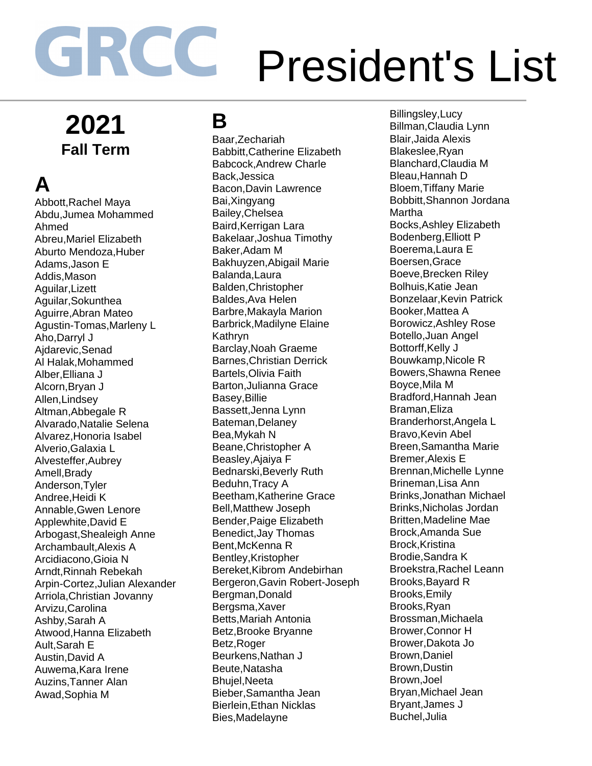# **2021 Fall Term**

**A**  Abbott,Rachel Maya Abdu,Jumea Mohammed Ahmed Abreu,Mariel Elizabeth Aburto Mendoza,Huber Adams,Jason E Addis,Mason Aguilar,Lizett Aguilar,Sokunthea Aguirre,Abran Mateo Agustin-Tomas,Marleny L Aho,Darryl J Ajdarevic,Senad Al Halak,Mohammed Alber,Elliana J Alcorn,Bryan J Allen,Lindsey Altman,Abbegale R Alvarado,Natalie Selena Alvarez,Honoria Isabel Alverio,Galaxia L Alvesteffer,Aubrey Amell,Brady Anderson,Tyler Andree,Heidi K Annable,Gwen Lenore Applewhite,David E Arbogast,Shealeigh Anne Archambault,Alexis A Arcidiacono,Gioia N Arndt,Rinnah Rebekah Arpin-Cortez,Julian Alexander Arriola,Christian Jovanny Arvizu,Carolina Ashby,Sarah A Atwood,Hanna Elizabeth Ault,Sarah E Austin,David A Auwema,Kara Irene Auzins,Tanner Alan Awad,Sophia M

### **B**

Baar,Zechariah Babbitt,Catherine Elizabeth Babcock,Andrew Charle Back,Jessica Bacon,Davin Lawrence Bai,Xingyang Bailey,Chelsea Baird,Kerrigan Lara Bakelaar,Joshua Timothy Baker,Adam M Bakhuyzen,Abigail Marie Balanda,Laura Balden,Christopher Baldes,Ava Helen Barbre,Makayla Marion Barbrick,Madilyne Elaine Kathryn Barclay,Noah Graeme Barnes,Christian Derrick Bartels,Olivia Faith Barton,Julianna Grace Basey,Billie Bassett,Jenna Lynn Bateman,Delaney Bea,Mykah N Beane,Christopher A Beasley,Ajaiya F Bednarski,Beverly Ruth Beduhn,Tracy A Beetham,Katherine Grace Bell,Matthew Joseph Bender,Paige Elizabeth Benedict,Jay Thomas Bent,McKenna R Bentley,Kristopher Bereket,Kibrom Andebirhan Bergeron,Gavin Robert-Joseph Bergman,Donald Bergsma,Xaver Betts,Mariah Antonia Betz,Brooke Bryanne Betz,Roger Beurkens,Nathan J Beute,Natasha Bhujel,Neeta Bieber,Samantha Jean Bierlein,Ethan Nicklas Bies,Madelayne

Billingsley,Lucy Billman,Claudia Lynn Blair,Jaida Alexis Blakeslee,Ryan Blanchard,Claudia M Bleau,Hannah D Bloem,Tiffany Marie Bobbitt,Shannon Jordana Martha Bocks,Ashley Elizabeth Bodenberg,Elliott P Boerema,Laura E Boersen,Grace Boeve,Brecken Riley Bolhuis,Katie Jean Bonzelaar,Kevin Patrick Booker,Mattea A Borowicz,Ashley Rose Botello,Juan Angel Bottorff,Kelly J Bouwkamp,Nicole R Bowers,Shawna Renee Boyce,Mila M Bradford,Hannah Jean Braman,Eliza Branderhorst,Angela L Bravo,Kevin Abel Breen,Samantha Marie Bremer,Alexis E Brennan,Michelle Lynne Brineman,Lisa Ann Brinks,Jonathan Michael Brinks,Nicholas Jordan Britten,Madeline Mae Brock,Amanda Sue Brock,Kristina Brodie,Sandra K Broekstra,Rachel Leann Brooks,Bayard R Brooks,Emily Brooks,Ryan Brossman,Michaela Brower,Connor H Brower,Dakota Jo Brown,Daniel Brown,Dustin Brown,Joel Bryan,Michael Jean Bryant,James J Buchel,Julia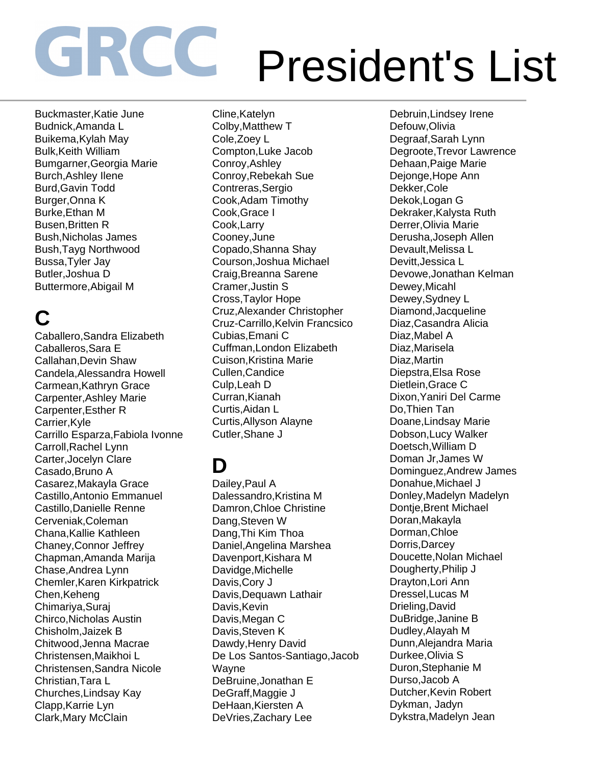Buckmaster,Katie June Budnick,Amanda L Buikema,Kylah May Bulk,Keith William Bumgarner,Georgia Marie Burch,Ashley Ilene Burd,Gavin Todd Burger,Onna K Burke,Ethan M Busen,Britten R Bush,Nicholas James Bush,Tayg Northwood Bussa,Tyler Jay Butler,Joshua D Buttermore,Abigail M

# **C**

Caballero,Sandra Elizabeth Caballeros,Sara E Callahan,Devin Shaw Candela,Alessandra Howell Carmean,Kathryn Grace Carpenter,Ashley Marie Carpenter,Esther R Carrier,Kyle Carrillo Esparza,Fabiola Ivonne Carroll,Rachel Lynn Carter,Jocelyn Clare Casado,Bruno A Casarez,Makayla Grace Castillo,Antonio Emmanuel Castillo,Danielle Renne Cerveniak,Coleman Chana,Kallie Kathleen Chaney,Connor Jeffrey Chapman,Amanda Marija Chase,Andrea Lynn Chemler,Karen Kirkpatrick Chen,Keheng Chimariya,Suraj Chirco,Nicholas Austin Chisholm,Jaizek B Chitwood,Jenna Macrae Christensen,Maikhoi L Christensen,Sandra Nicole Christian,Tara L Churches,Lindsay Kay Clapp,Karrie Lyn Clark,Mary McClain

Cline,Katelyn Colby,Matthew T Cole,Zoey L Compton,Luke Jacob Conroy,Ashley Conroy,Rebekah Sue Contreras,Sergio Cook,Adam Timothy Cook,Grace I Cook,Larry Cooney,June Copado,Shanna Shay Courson,Joshua Michael Craig,Breanna Sarene Cramer,Justin S Cross,Taylor Hope Cruz,Alexander Christopher Cruz-Carrillo,Kelvin Francsico Cubias,Emani C Cuffman,London Elizabeth Cuison,Kristina Marie Cullen,Candice Culp,Leah D Curran,Kianah Curtis,Aidan L Curtis,Allyson Alayne Cutler,Shane J

### **D**

Dailey,Paul A Dalessandro, Kristina M Damron,Chloe Christine Dang,Steven W Dang,Thi Kim Thoa Daniel,Angelina Marshea Davenport,Kishara M Davidge,Michelle Davis,Cory J Davis,Dequawn Lathair Davis, Kevin Davis,Megan C Davis,Steven K Dawdy,Henry David De Los Santos-Santiago,Jacob **Wavne** DeBruine,Jonathan E DeGraff,Maggie J DeHaan,Kiersten A DeVries,Zachary Lee

Debruin,Lindsey Irene Defouw,Olivia Degraaf,Sarah Lynn Degroote,Trevor Lawrence Dehaan,Paige Marie Dejonge,Hope Ann Dekker,Cole Dekok,Logan G Dekraker,Kalysta Ruth Derrer,Olivia Marie Derusha,Joseph Allen Devault,Melissa L Devitt,Jessica L Devowe,Jonathan Kelman Dewey,Micahl Dewey,Sydney L Diamond,Jacqueline Diaz,Casandra Alicia Diaz,Mabel A Diaz,Marisela Diaz,Martin Diepstra,Elsa Rose Dietlein,Grace C Dixon,Yaniri Del Carme Do,Thien Tan Doane,Lindsay Marie Dobson,Lucy Walker Doetsch,William D Doman Jr,James W Dominguez,Andrew James Donahue,Michael J Donley,Madelyn Madelyn Dontje,Brent Michael Doran,Makayla Dorman,Chloe Dorris,Darcey Doucette,Nolan Michael Dougherty,Philip J Drayton,Lori Ann Dressel,Lucas M Drieling,David DuBridge,Janine B Dudley,Alayah M Dunn,Alejandra Maria Durkee,Olivia S Duron,Stephanie M Durso,Jacob A Dutcher,Kevin Robert Dykman, Jadyn Dykstra,Madelyn Jean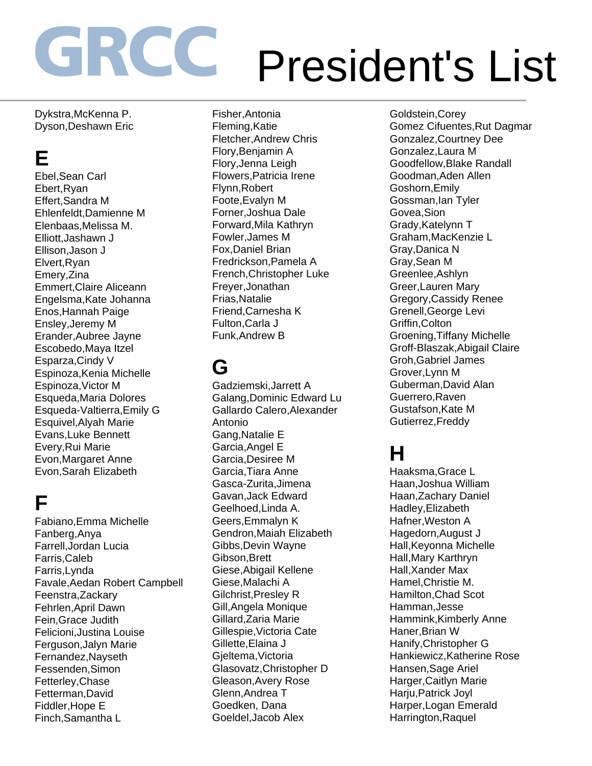Dykstra,McKenna P. Dyson,Deshawn Eric

# **E**

Ebel,Sean Carl Ebert,Ryan Effert,Sandra M Ehlenfeldt,Damienne M Elenbaas,Melissa M. Elliott,Jashawn J Ellison,Jason J Elvert,Ryan Emery,Zina Emmert,Claire Aliceann Engelsma,Kate Johanna Enos,Hannah Paige Ensley,Jeremy M Erander,Aubree Jayne Escobedo,Maya Itzel Esparza,Cindy V Espinoza,Kenia Michelle Espinoza,Victor M Esqueda,Maria Dolores Esqueda-Valtierra,Emily G Esquivel,Alyah Marie Evans,Luke Bennett Every,Rui Marie Evon,Margaret Anne Evon,Sarah Elizabeth

#### **F**

Fabiano,Emma Michelle Fanberg,Anya Farrell,Jordan Lucia Farris,Caleb Farris,Lynda Favale,Aedan Robert Campbell Feenstra,Zackary Fehrlen,April Dawn Fein,Grace Judith Felicioni,Justina Louise Ferguson,Jalyn Marie Fernandez,Nayseth Fessenden,Simon Fetterley,Chase Fetterman,David Fiddler,Hope E Finch,Samantha L

Fisher,Antonia Fleming,Katie Fletcher,Andrew Chris Flory,Benjamin A Flory,Jenna Leigh Flowers,Patricia Irene Flynn,Robert Foote,Evalyn M Forner,Joshua Dale Forward,Mila Kathryn Fowler,James M Fox,Daniel Brian Fredrickson,Pamela A French,Christopher Luke Freyer,Jonathan Frias,Natalie Friend,Carnesha K Fulton,Carla J Funk,Andrew B

#### **G**

Gadziemski,Jarrett A Galang,Dominic Edward Lu Gallardo Calero,Alexander Antonio Gang,Natalie E Garcia,Angel E Garcia,Desiree M Garcia,Tiara Anne Gasca-Zurita,Jimena Gavan,Jack Edward Geelhoed,Linda A. Geers,Emmalyn K Gendron,Maiah Elizabeth Gibbs,Devin Wayne Gibson,Brett Giese,Abigail Kellene Giese,Malachi A Gilchrist,Presley R Gill,Angela Monique Gillard,Zaria Marie Gillespie,Victoria Cate Gillette,Elaina J Gjeltema,Victoria Glasovatz,Christopher D Gleason,Avery Rose Glenn,Andrea T Goedken, Dana Goeldel,Jacob Alex

Goldstein,Corey Gomez Cifuentes,Rut Dagmar Gonzalez,Courtney Dee Gonzalez,Laura M Goodfellow,Blake Randall Goodman,Aden Allen Goshorn,Emily Gossman,Ian Tyler Govea,Sion Grady,Katelynn T Graham,MacKenzie L Gray,Danica N Gray,Sean M Greenlee,Ashlyn Greer,Lauren Mary Gregory,Cassidy Renee Grenell,George Levi Griffin,Colton Groening,Tiffany Michelle Groff-Blaszak,Abigail Claire Groh,Gabriel James Grover,Lynn M Guberman,David Alan Guerrero,Raven Gustafson,Kate M Gutierrez,Freddy

### **H**

Haaksma,Grace L Haan,Joshua William Haan,Zachary Daniel Hadley,Elizabeth Hafner,Weston A Hagedorn,August J Hall,Keyonna Michelle Hall,Mary Karthryn Hall,Xander Max Hamel,Christie M. Hamilton,Chad Scot Hamman,Jesse Hammink,Kimberly Anne Haner,Brian W Hanify,Christopher G Hankiewicz,Katherine Rose Hansen,Sage Ariel Harger,Caitlyn Marie Harju, Patrick Joyl Harper,Logan Emerald Harrington,Raquel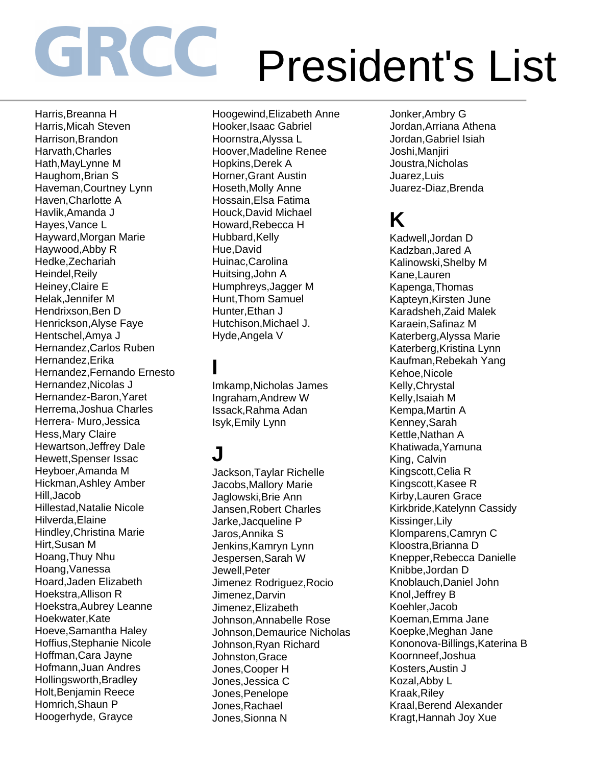Harris,Breanna H Harris,Micah Steven Harrison,Brandon Harvath,Charles Hath,MayLynne M Haughom,Brian S Haveman,Courtney Lynn Haven,Charlotte A Havlik,Amanda J Hayes,Vance L Hayward,Morgan Marie Haywood,Abby R Hedke,Zechariah Heindel,Reily Heiney,Claire E Helak,Jennifer M Hendrixson,Ben D Henrickson,Alyse Faye Hentschel,Amya J Hernandez,Carlos Ruben Hernandez,Erika Hernandez,Fernando Ernesto Hernandez,Nicolas J Hernandez-Baron,Yaret Herrema,Joshua Charles Herrera- Muro,Jessica Hess,Mary Claire Hewartson,Jeffrey Dale Hewett,Spenser Issac Heyboer,Amanda M Hickman,Ashley Amber Hill,Jacob Hillestad,Natalie Nicole Hilverda,Elaine Hindley,Christina Marie Hirt,Susan M Hoang,Thuy Nhu Hoang,Vanessa Hoard,Jaden Elizabeth Hoekstra,Allison R Hoekstra,Aubrey Leanne Hoekwater,Kate Hoeve,Samantha Haley Hoffius,Stephanie Nicole Hoffman,Cara Jayne Hofmann,Juan Andres Hollingsworth,Bradley Holt,Benjamin Reece Homrich,Shaun P Hoogerhyde, Grayce

Hoogewind,Elizabeth Anne Hooker,Isaac Gabriel Hoornstra,Alyssa L Hoover,Madeline Renee Hopkins,Derek A Horner,Grant Austin Hoseth,Molly Anne Hossain,Elsa Fatima Houck,David Michael Howard,Rebecca H Hubbard,Kelly Hue,David Huinac,Carolina Huitsing,John A Humphreys,Jagger M Hunt,Thom Samuel Hunter,Ethan J Hutchison,Michael J. Hyde,Angela V

**I** 

Imkamp,Nicholas James Ingraham,Andrew W Issack,Rahma Adan Isyk,Emily Lynn

# **J**

Jackson,Taylar Richelle Jacobs,Mallory Marie Jaglowski,Brie Ann Jansen,Robert Charles Jarke,Jacqueline P Jaros,Annika S Jenkins,Kamryn Lynn Jespersen,Sarah W Jewell,Peter Jimenez Rodriguez,Rocio Jimenez,Darvin Jimenez,Elizabeth Johnson,Annabelle Rose Johnson,Demaurice Nicholas Johnson,Ryan Richard Johnston,Grace Jones,Cooper H Jones,Jessica C Jones,Penelope Jones,Rachael Jones,Sionna N

Jonker,Ambry G Jordan,Arriana Athena Jordan,Gabriel Isiah Joshi, Maniiri Joustra,Nicholas Juarez,Luis Juarez-Diaz,Brenda

### **K**

Kadwell,Jordan D Kadzban,Jared A Kalinowski,Shelby M Kane,Lauren Kapenga,Thomas Kapteyn,Kirsten June Karadsheh,Zaid Malek Karaein,Safinaz M Katerberg,Alyssa Marie Katerberg,Kristina Lynn Kaufman,Rebekah Yang Kehoe,Nicole Kelly,Chrystal Kelly,Isaiah M Kempa,Martin A Kenney,Sarah Kettle,Nathan A Khatiwada,Yamuna King, Calvin Kingscott,Celia R Kingscott,Kasee R Kirby,Lauren Grace Kirkbride,Katelynn Cassidy Kissinger,Lily Klomparens,Camryn C Kloostra,Brianna D Knepper,Rebecca Danielle Knibbe,Jordan D Knoblauch,Daniel John Knol,Jeffrey B Koehler,Jacob Koeman,Emma Jane Koepke,Meghan Jane Kononova-Billings,Katerina B Koornneef,Joshua Kosters,Austin J Kozal,Abby L Kraak,Riley Kraal,Berend Alexander Kragt,Hannah Joy Xue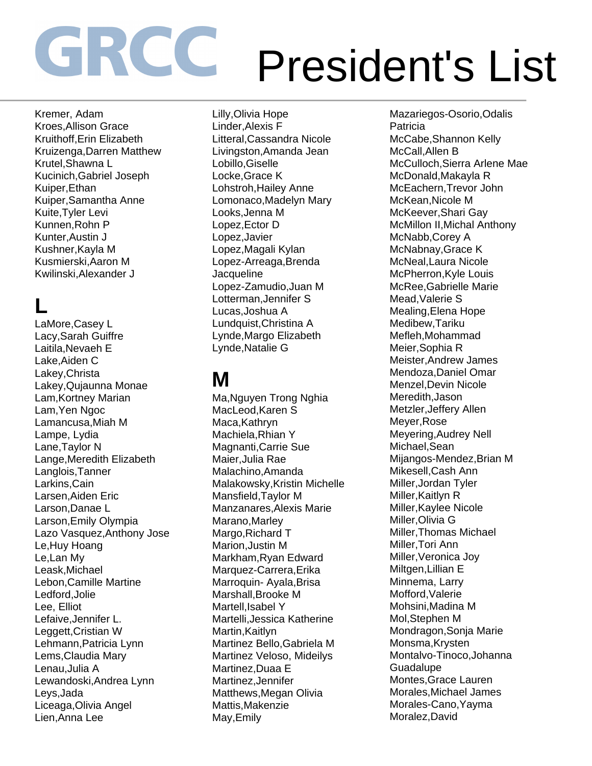Kremer, Adam Kroes,Allison Grace Kruithoff,Erin Elizabeth Kruizenga,Darren Matthew Krutel,Shawna L Kucinich,Gabriel Joseph Kuiper,Ethan Kuiper,Samantha Anne Kuite,Tyler Levi Kunnen,Rohn P Kunter,Austin J Kushner,Kayla M Kusmierski,Aaron M Kwilinski,Alexander J

### **L**

LaMore,Casey L Lacy,Sarah Guiffre Laitila,Nevaeh E Lake,Aiden C Lakey,Christa Lakey,Qujaunna Monae Lam,Kortney Marian Lam,Yen Ngoc Lamancusa,Miah M Lampe, Lydia Lane,Taylor N Lange,Meredith Elizabeth Langlois,Tanner Larkins,Cain Larsen,Aiden Eric Larson,Danae L Larson,Emily Olympia Lazo Vasquez,Anthony Jose Le,Huy Hoang Le,Lan My Leask,Michael Lebon,Camille Martine Ledford,Jolie Lee, Elliot Lefaive,Jennifer L. Leggett,Cristian W Lehmann,Patricia Lynn Lems,Claudia Mary Lenau,Julia A Lewandoski,Andrea Lynn Leys,Jada Liceaga,Olivia Angel Lien,Anna Lee

Lilly,Olivia Hope Linder,Alexis F Litteral,Cassandra Nicole Livingston,Amanda Jean Lobillo,Giselle Locke,Grace K Lohstroh,Hailey Anne Lomonaco,Madelyn Mary Looks,Jenna M Lopez,Ector D Lopez,Javier Lopez,Magali Kylan Lopez-Arreaga,Brenda **Jacqueline** Lopez-Zamudio,Juan M Lotterman,Jennifer S Lucas,Joshua A Lundquist,Christina A Lynde,Margo Elizabeth Lynde,Natalie G

### **M**

Ma,Nguyen Trong Nghia MacLeod,Karen S Maca,Kathryn Machiela,Rhian Y Magnanti,Carrie Sue Maier,Julia Rae Malachino,Amanda Malakowsky,Kristin Michelle Mansfield,Taylor M Manzanares,Alexis Marie Marano,Marley Margo, Richard T Marion,Justin M Markham,Ryan Edward Marquez-Carrera,Erika Marroquin- Ayala,Brisa Marshall,Brooke M Martell,Isabel Y Martelli,Jessica Katherine Martin,Kaitlyn Martinez Bello,Gabriela M Martinez Veloso, Mideilys Martinez,Duaa E Martinez,Jennifer Matthews,Megan Olivia Mattis,Makenzie May,Emily

Mazariegos-Osorio,Odalis Patricia McCabe,Shannon Kelly McCall,Allen B McCulloch,Sierra Arlene Mae McDonald,Makayla R McEachern,Trevor John McKean,Nicole M McKeever,Shari Gay McMillon II,Michal Anthony McNabb,Corey A McNabnay,Grace K McNeal,Laura Nicole McPherron,Kyle Louis McRee,Gabrielle Marie Mead,Valerie S Mealing,Elena Hope Medibew,Tariku Mefleh,Mohammad Meier,Sophia R Meister,Andrew James Mendoza,Daniel Omar Menzel,Devin Nicole Meredith,Jason Metzler,Jeffery Allen Meyer,Rose Meyering,Audrey Nell Michael,Sean Mijangos-Mendez,Brian M Mikesell,Cash Ann Miller,Jordan Tyler Miller,Kaitlyn R Miller,Kaylee Nicole Miller,Olivia G Miller,Thomas Michael Miller,Tori Ann Miller,Veronica Joy Miltgen,Lillian E Minnema, Larry Mofford,Valerie Mohsini,Madina M Mol,Stephen M Mondragon,Sonja Marie Monsma,Krysten Montalvo-Tinoco,Johanna **Guadalupe** Montes,Grace Lauren Morales,Michael James Morales-Cano,Yayma Moralez,David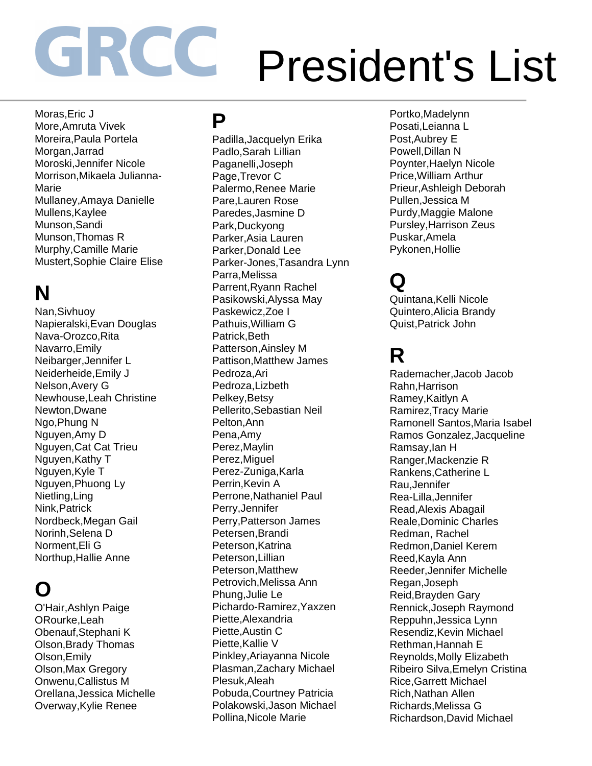Moras,Eric J More,Amruta Vivek Moreira,Paula Portela Morgan,Jarrad Moroski,Jennifer Nicole Morrison,Mikaela Julianna-Marie Mullaney,Amaya Danielle Mullens,Kaylee Munson,Sandi Munson,Thomas R Murphy,Camille Marie Mustert,Sophie Claire Elise

# **N**

Nan,Sivhuoy Napieralski,Evan Douglas Nava-Orozco,Rita Navarro,Emily Neibarger,Jennifer L Neiderheide,Emily J Nelson,Avery G Newhouse,Leah Christine Newton,Dwane Ngo,Phung N Nguyen,Amy D Nguyen,Cat Cat Trieu Nguyen,Kathy T Nguyen,Kyle T Nguyen,Phuong Ly Nietling,Ling Nink,Patrick Nordbeck,Megan Gail Norinh,Selena D Norment,Eli G Northup,Hallie Anne

#### **O**

O'Hair,Ashlyn Paige ORourke,Leah Obenauf,Stephani K Olson,Brady Thomas Olson,Emily Olson,Max Gregory Onwenu,Callistus M Orellana,Jessica Michelle Overway,Kylie Renee

#### **P**

Padilla,Jacquelyn Erika Padlo,Sarah Lillian Paganelli,Joseph Page,Trevor C Palermo,Renee Marie Pare,Lauren Rose Paredes,Jasmine D Park,Duckyong Parker,Asia Lauren Parker,Donald Lee Parker-Jones,Tasandra Lynn Parra,Melissa Parrent,Ryann Rachel Pasikowski,Alyssa May Paskewicz,Zoe I Pathuis,William G Patrick,Beth Patterson,Ainsley M Pattison,Matthew James Pedroza,Ari Pedroza,Lizbeth Pelkey,Betsy Pellerito,Sebastian Neil Pelton,Ann Pena,Amy Perez,Maylin Perez,Miguel Perez-Zuniga,Karla Perrin, Kevin A Perrone,Nathaniel Paul Perry,Jennifer Perry,Patterson James Petersen,Brandi Peterson,Katrina Peterson,Lillian Peterson,Matthew Petrovich,Melissa Ann Phung,Julie Le Pichardo-Ramirez,Yaxzen Piette,Alexandria Piette,Austin C Piette,Kallie V Pinkley,Ariayanna Nicole Plasman,Zachary Michael Plesuk,Aleah Pobuda,Courtney Patricia Polakowski,Jason Michael Pollina,Nicole Marie

Portko,Madelynn Posati,Leianna L Post,Aubrey E Powell,Dillan N Poynter,Haelyn Nicole Price,William Arthur Prieur,Ashleigh Deborah Pullen,Jessica M Purdy,Maggie Malone Pursley,Harrison Zeus Puskar,Amela Pykonen,Hollie

# **Q**

Quintana,Kelli Nicole Quintero,Alicia Brandy Quist,Patrick John

### **R**

Rademacher,Jacob Jacob Rahn,Harrison Ramey,Kaitlyn A Ramirez,Tracy Marie Ramonell Santos,Maria Isabel Ramos Gonzalez,Jacqueline Ramsay,Ian H Ranger,Mackenzie R Rankens,Catherine L Rau,Jennifer Rea-Lilla,Jennifer Read,Alexis Abagail Reale,Dominic Charles Redman, Rachel Redmon,Daniel Kerem Reed,Kayla Ann Reeder,Jennifer Michelle Regan,Joseph Reid,Brayden Gary Rennick,Joseph Raymond Reppuhn,Jessica Lynn Resendiz,Kevin Michael Rethman,Hannah E Reynolds,Molly Elizabeth Ribeiro Silva,Emelyn Cristina Rice,Garrett Michael Rich,Nathan Allen Richards,Melissa G Richardson,David Michael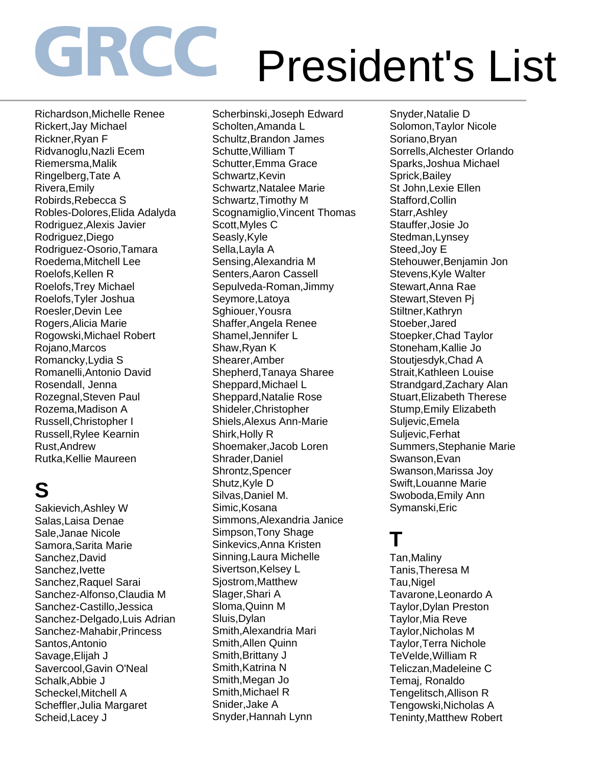Richardson,Michelle Renee Rickert,Jay Michael Rickner,Ryan F Ridvanoglu,Nazli Ecem Riemersma,Malik Ringelberg,Tate A Rivera,Emily Robirds,Rebecca S Robles-Dolores,Elida Adalyda Rodriguez,Alexis Javier Rodriguez,Diego Rodriguez-Osorio,Tamara Roedema,Mitchell Lee Roelofs,Kellen R Roelofs,Trey Michael Roelofs,Tyler Joshua Roesler,Devin Lee Rogers,Alicia Marie Rogowski,Michael Robert Rojano,Marcos Romancky,Lydia S Romanelli,Antonio David Rosendall, Jenna Rozegnal,Steven Paul Rozema,Madison A Russell,Christopher I Russell,Rylee Kearnin Rust,Andrew Rutka,Kellie Maureen

# **S**

Sakievich,Ashley W Salas,Laisa Denae Sale,Janae Nicole Samora,Sarita Marie Sanchez,David Sanchez, Ivette Sanchez,Raquel Sarai Sanchez-Alfonso,Claudia M Sanchez-Castillo,Jessica Sanchez-Delgado,Luis Adrian Sanchez-Mahabir,Princess Santos,Antonio Savage,Elijah J Savercool,Gavin O'Neal Schalk,Abbie J Scheckel,Mitchell A Scheffler,Julia Margaret Scheid,Lacey J

Scherbinski,Joseph Edward Scholten,Amanda L Schultz,Brandon James Schutte,William T Schutter,Emma Grace Schwartz, Kevin Schwartz,Natalee Marie Schwartz,Timothy M Scognamiglio,Vincent Thomas Scott,Myles C Seasly,Kyle Sella,Layla A Sensing,Alexandria M Senters,Aaron Cassell Sepulveda-Roman,Jimmy Seymore,Latoya Sghiouer,Yousra Shaffer,Angela Renee Shamel,Jennifer L Shaw,Ryan K Shearer,Amber Shepherd,Tanaya Sharee Sheppard,Michael L Sheppard,Natalie Rose Shideler,Christopher Shiels,Alexus Ann-Marie Shirk,Holly R Shoemaker,Jacob Loren Shrader,Daniel Shrontz,Spencer Shutz,Kyle D Silvas,Daniel M. Simic,Kosana Simmons,Alexandria Janice Simpson,Tony Shage Sinkevics,Anna Kristen Sinning,Laura Michelle Sivertson, Kelsey L Sjostrom,Matthew Slager,Shari A Sloma,Quinn M Sluis,Dylan Smith,Alexandria Mari Smith,Allen Quinn Smith,Brittany J Smith, Katrina N Smith,Megan Jo Smith,Michael R Snider,Jake A Snyder,Hannah Lynn

Snyder,Natalie D Solomon,Taylor Nicole Soriano,Bryan Sorrells,Alchester Orlando Sparks,Joshua Michael Sprick,Bailey St John,Lexie Ellen Stafford,Collin Starr,Ashley Stauffer,Josie Jo Stedman,Lynsey Steed,Joy E Stehouwer,Benjamin Jon Stevens,Kyle Walter Stewart,Anna Rae Stewart,Steven Pj Stiltner,Kathryn Stoeber,Jared Stoepker,Chad Taylor Stoneham,Kallie Jo Stoutjesdyk,Chad A Strait,Kathleen Louise Strandgard,Zachary Alan Stuart,Elizabeth Therese Stump,Emily Elizabeth Suljevic,Emela Suljevic,Ferhat Summers,Stephanie Marie Swanson,Evan Swanson,Marissa Joy Swift,Louanne Marie Swoboda,Emily Ann Symanski,Eric

#### **T**

Tan,Maliny Tanis,Theresa M Tau,Nigel Tavarone,Leonardo A Taylor,Dylan Preston Taylor,Mia Reve Taylor,Nicholas M Taylor,Terra Nichole TeVelde,William R Teliczan,Madeleine C Temaj, Ronaldo Tengelitsch,Allison R Tengowski,Nicholas A Teninty,Matthew Robert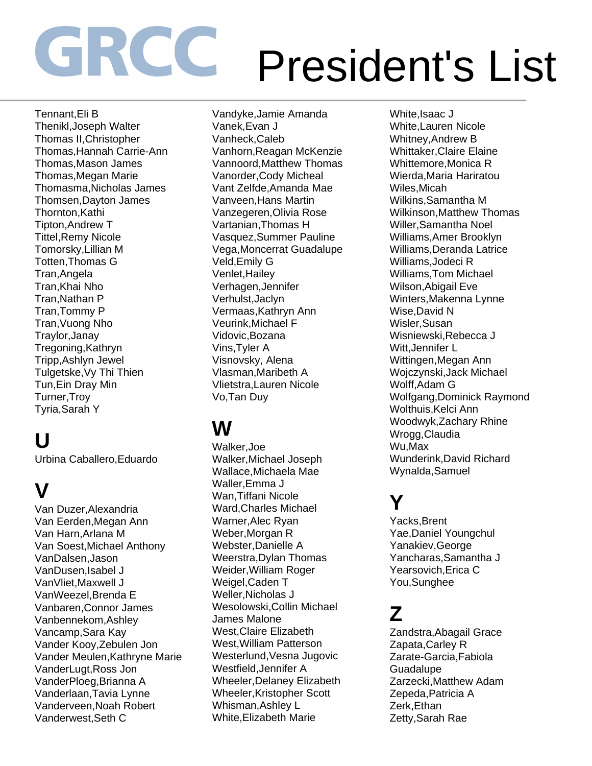Tennant,Eli B Thenikl,Joseph Walter Thomas II,Christopher Thomas,Hannah Carrie-Ann Thomas,Mason James Thomas,Megan Marie Thomasma,Nicholas James Thomsen,Dayton James Thornton,Kathi Tipton,Andrew T Tittel,Remy Nicole Tomorsky,Lillian M Totten,Thomas G Tran,Angela Tran,Khai Nho Tran,Nathan P Tran,Tommy P Tran,Vuong Nho Traylor,Janay Tregoning,Kathryn Tripp,Ashlyn Jewel Tulgetske,Vy Thi Thien Tun,Ein Dray Min Turner,Troy Tyria,Sarah Y

### **U**

Urbina Caballero,Eduardo

# **V**

Van Duzer,Alexandria Van Eerden,Megan Ann Van Harn,Arlana M Van Soest,Michael Anthony VanDalsen,Jason VanDusen,Isabel J VanVliet,Maxwell J VanWeezel,Brenda E Vanbaren,Connor James Vanbennekom,Ashley Vancamp,Sara Kay Vander Kooy,Zebulen Jon Vander Meulen,Kathryne Marie VanderLugt,Ross Jon VanderPloeg,Brianna A Vanderlaan,Tavia Lynne Vanderveen,Noah Robert Vanderwest,Seth C

Vandyke,Jamie Amanda Vanek,Evan J Vanheck,Caleb Vanhorn,Reagan McKenzie Vannoord,Matthew Thomas Vanorder,Cody Micheal Vant Zelfde,Amanda Mae Vanveen,Hans Martin Vanzegeren,Olivia Rose Vartanian,Thomas H Vasquez,Summer Pauline Vega,Moncerrat Guadalupe Veld,Emily G Venlet,Hailey Verhagen,Jennifer Verhulst,Jaclyn Vermaas,Kathryn Ann Veurink,Michael F Vidovic,Bozana Vins,Tyler A Visnovsky, Alena Vlasman,Maribeth A Vlietstra,Lauren Nicole Vo,Tan Duy

### **W**

Walker,Joe Walker,Michael Joseph Wallace,Michaela Mae Waller,Emma J Wan,Tiffani Nicole Ward,Charles Michael Warner,Alec Ryan Weber,Morgan R Webster,Danielle A Weerstra,Dylan Thomas Weider,William Roger Weigel,Caden T Weller,Nicholas J Wesolowski,Collin Michael James Malone West,Claire Elizabeth West,William Patterson Westerlund,Vesna Jugovic Westfield,Jennifer A Wheeler,Delaney Elizabeth Wheeler,Kristopher Scott Whisman,Ashley L White,Elizabeth Marie

White,Isaac J White,Lauren Nicole Whitney,Andrew B Whittaker,Claire Elaine Whittemore,Monica R Wierda,Maria Hariratou Wiles,Micah Wilkins,Samantha M Wilkinson,Matthew Thomas Willer,Samantha Noel Williams,Amer Brooklyn Williams,Deranda Latrice Williams,Jodeci R Williams,Tom Michael Wilson,Abigail Eve Winters,Makenna Lynne Wise,David N Wisler,Susan Wisniewski,Rebecca J Witt,Jennifer L Wittingen,Megan Ann Wojczynski,Jack Michael Wolff,Adam G Wolfgang,Dominick Raymond Wolthuis, Kelci Ann Woodwyk,Zachary Rhine Wrogg,Claudia Wu,Max Wunderink,David Richard Wynalda,Samuel

#### **Y**

Yacks,Brent Yae,Daniel Youngchul Yanakiev,George Yancharas,Samantha J Yearsovich,Erica C You,Sunghee

### **Z**

Zandstra,Abagail Grace Zapata,Carley R Zarate-Garcia,Fabiola Guadalupe Zarzecki,Matthew Adam Zepeda,Patricia A Zerk,Ethan Zetty,Sarah Rae